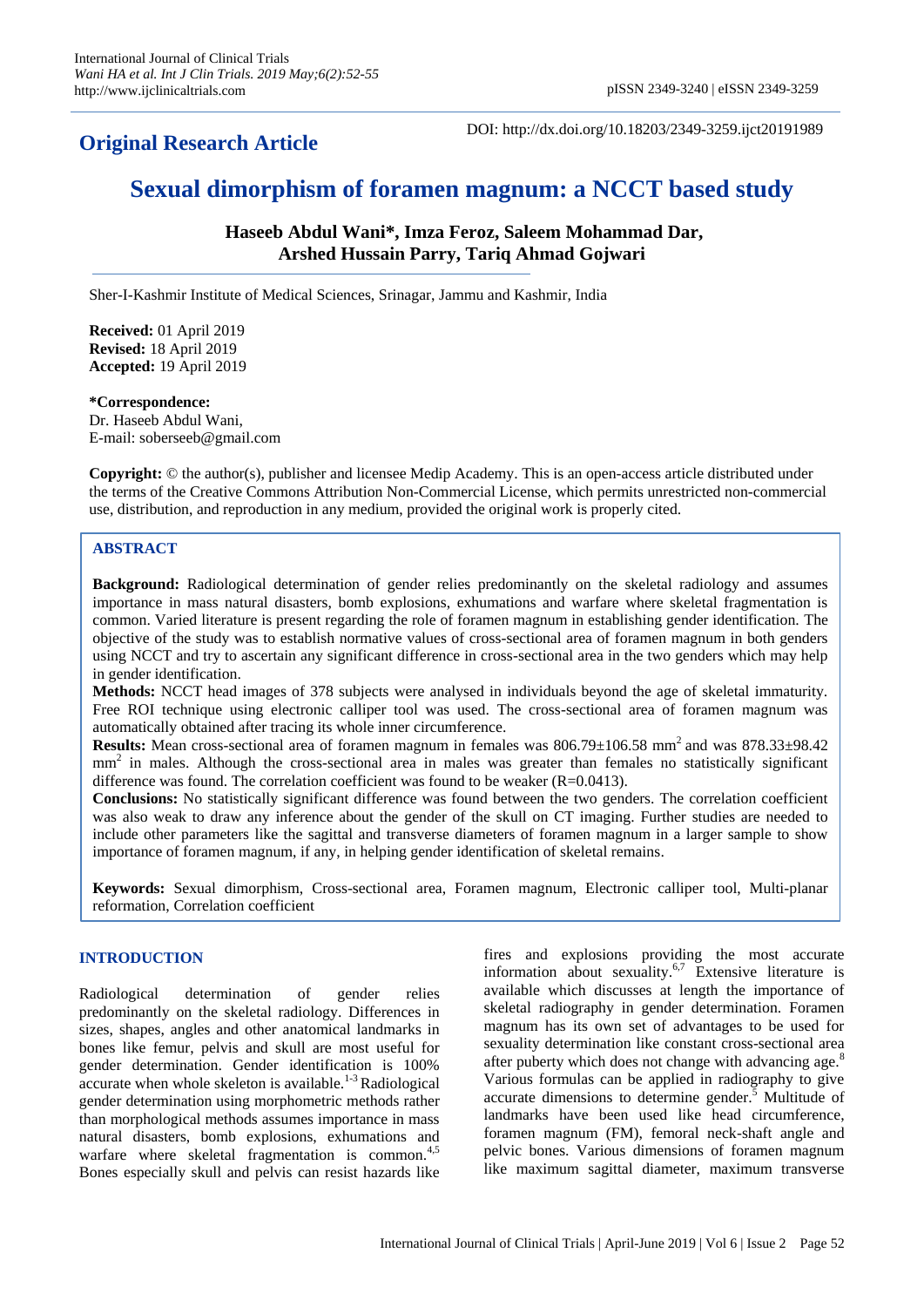## **Original Research Article**

DOI: http://dx.doi.org/10.18203/2349-3259.ijct20191989

# **Sexual dimorphism of foramen magnum: a NCCT based study**

**Haseeb Abdul Wani\*, Imza Feroz, Saleem Mohammad Dar, Arshed Hussain Parry, Tariq Ahmad Gojwari**

Sher-I-Kashmir Institute of Medical Sciences, Srinagar, Jammu and Kashmir, India

**Received:** 01 April 2019 **Revised:** 18 April 2019 **Accepted:** 19 April 2019

#### **\*Correspondence:**

Dr. Haseeb Abdul Wani, E-mail: soberseeb@gmail.com

**Copyright:** © the author(s), publisher and licensee Medip Academy. This is an open-access article distributed under the terms of the Creative Commons Attribution Non-Commercial License, which permits unrestricted non-commercial use, distribution, and reproduction in any medium, provided the original work is properly cited.

## **ABSTRACT**

**Background:** Radiological determination of gender relies predominantly on the skeletal radiology and assumes importance in mass natural disasters, bomb explosions, exhumations and warfare where skeletal fragmentation is common. Varied literature is present regarding the role of foramen magnum in establishing gender identification. The objective of the study was to establish normative values of cross-sectional area of foramen magnum in both genders using NCCT and try to ascertain any significant difference in cross-sectional area in the two genders which may help in gender identification.

**Methods:** NCCT head images of 378 subjects were analysed in individuals beyond the age of skeletal immaturity. Free ROI technique using electronic calliper tool was used. The cross-sectional area of foramen magnum was automatically obtained after tracing its whole inner circumference.

Results: Mean cross-sectional area of foramen magnum in females was 806.79±106.58 mm<sup>2</sup> and was 878.33±98.42 mm<sup>2</sup> in males. Although the cross-sectional area in males was greater than females no statistically significant difference was found. The correlation coefficient was found to be weaker  $(R=0.0413)$ .

**Conclusions:** No statistically significant difference was found between the two genders. The correlation coefficient was also weak to draw any inference about the gender of the skull on CT imaging. Further studies are needed to include other parameters like the sagittal and transverse diameters of foramen magnum in a larger sample to show importance of foramen magnum, if any, in helping gender identification of skeletal remains.

**Keywords:** Sexual dimorphism, Cross-sectional area, Foramen magnum, Electronic calliper tool, Multi-planar reformation, Correlation coefficient

#### **INTRODUCTION**

Radiological determination of gender relies predominantly on the skeletal radiology. Differences in sizes, shapes, angles and other anatomical landmarks in bones like femur, pelvis and skull are most useful for gender determination. Gender identification is 100% accurate when whole skeleton is available.<sup>1-3</sup> Radiological gender determination using morphometric methods rather than morphological methods assumes importance in mass natural disasters, bomb explosions, exhumations and warfare where skeletal fragmentation is common. $4.5$ Bones especially skull and pelvis can resist hazards like

fires and explosions providing the most accurate information about sexuality.<sup>6,7</sup> Extensive literature is available which discusses at length the importance of skeletal radiography in gender determination. Foramen magnum has its own set of advantages to be used for sexuality determination like constant cross-sectional area after puberty which does not change with advancing age.<sup>8</sup> Various formulas can be applied in radiography to give accurate dimensions to determine gender. $\overline{5}$  Multitude of landmarks have been used like head circumference, foramen magnum (FM), femoral neck-shaft angle and pelvic bones. Various dimensions of foramen magnum like maximum sagittal diameter, maximum transverse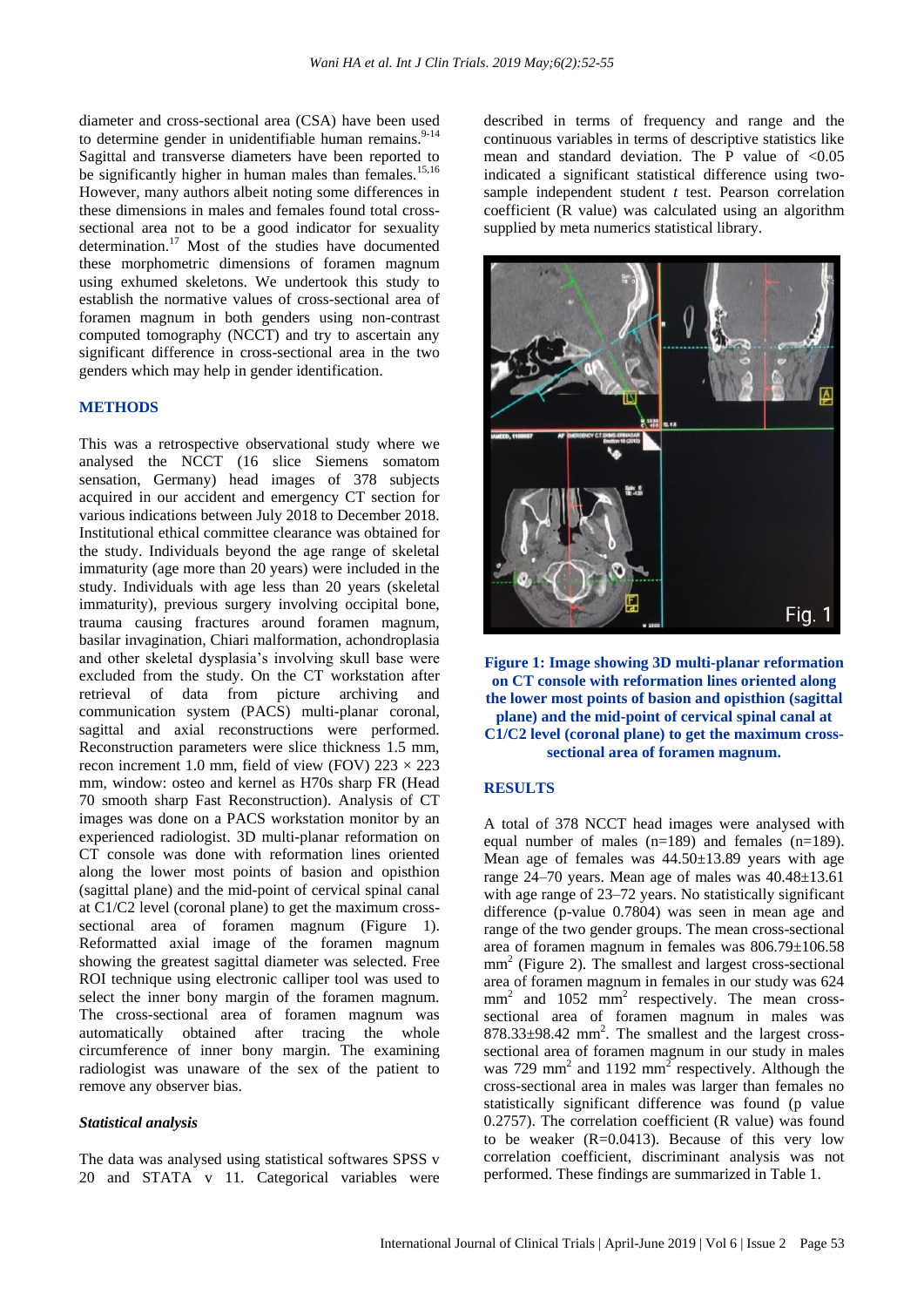diameter and cross-sectional area (CSA) have been used to determine gender in unidentifiable human remains. $9-14$ Sagittal and transverse diameters have been reported to be significantly higher in human males than females.<sup>15,16</sup> However, many authors albeit noting some differences in these dimensions in males and females found total crosssectional area not to be a good indicator for sexuality determination.<sup>17</sup> Most of the studies have documented these morphometric dimensions of foramen magnum using exhumed skeletons. We undertook this study to establish the normative values of cross-sectional area of foramen magnum in both genders using non-contrast computed tomography (NCCT) and try to ascertain any significant difference in cross-sectional area in the two genders which may help in gender identification.

### **METHODS**

This was a retrospective observational study where we analysed the NCCT (16 slice Siemens somatom sensation, Germany) head images of 378 subjects acquired in our accident and emergency CT section for various indications between July 2018 to December 2018. Institutional ethical committee clearance was obtained for the study. Individuals beyond the age range of skeletal immaturity (age more than 20 years) were included in the study. Individuals with age less than 20 years (skeletal immaturity), previous surgery involving occipital bone, trauma causing fractures around foramen magnum, basilar invagination, Chiari malformation, achondroplasia and other skeletal dysplasia's involving skull base were excluded from the study. On the CT workstation after retrieval of data from picture archiving and communication system (PACS) multi-planar coronal, sagittal and axial reconstructions were performed. Reconstruction parameters were slice thickness 1.5 mm, recon increment 1.0 mm, field of view (FOV)  $223 \times 223$ mm, window: osteo and kernel as H70s sharp FR (Head 70 smooth sharp Fast Reconstruction). Analysis of CT images was done on a PACS workstation monitor by an experienced radiologist. 3D multi-planar reformation on CT console was done with reformation lines oriented along the lower most points of basion and opisthion (sagittal plane) and the mid-point of cervical spinal canal at C1/C2 level (coronal plane) to get the maximum crosssectional area of foramen magnum (Figure 1). Reformatted axial image of the foramen magnum showing the greatest sagittal diameter was selected. Free ROI technique using electronic calliper tool was used to select the inner bony margin of the foramen magnum. The cross-sectional area of foramen magnum was automatically obtained after tracing the whole circumference of inner bony margin. The examining radiologist was unaware of the sex of the patient to remove any observer bias.

#### *Statistical analysis*

The data was analysed using statistical softwares SPSS v 20 and STATA v 11. Categorical variables were described in terms of frequency and range and the continuous variables in terms of descriptive statistics like mean and standard deviation. The P value of  $< 0.05$ indicated a significant statistical difference using twosample independent student *t* test. Pearson correlation coefficient (R value) was calculated using an algorithm supplied by meta numerics statistical library.



**Figure 1: Image showing 3D multi-planar reformation on CT console with reformation lines oriented along the lower most points of basion and opisthion (sagittal plane) and the mid-point of cervical spinal canal at C1/C2 level (coronal plane) to get the maximum crosssectional area of foramen magnum.**

## **RESULTS**

A total of 378 NCCT head images were analysed with equal number of males (n=189) and females (n=189). Mean age of females was 44.50±13.89 years with age range 24–70 years. Mean age of males was 40.48±13.61 with age range of 23–72 years. No statistically significant difference (p-value 0.7804) was seen in mean age and range of the two gender groups. The mean cross-sectional area of foramen magnum in females was 806.79±106.58 mm<sup>2</sup> (Figure 2). The smallest and largest cross-sectional area of foramen magnum in females in our study was 624 mm<sup>2</sup> and 1052 mm<sup>2</sup> respectively. The mean crosssectional area of foramen magnum in males was  $878.33\pm98.42$  mm<sup>2</sup>. The smallest and the largest crosssectional area of foramen magnum in our study in males was 729 mm<sup>2</sup> and 1192 mm<sup>2</sup> respectively. Although the cross-sectional area in males was larger than females no statistically significant difference was found (p value 0.2757). The correlation coefficient (R value) was found to be weaker  $(R=0.0413)$ . Because of this very low correlation coefficient, discriminant analysis was not performed. These findings are summarized in Table 1.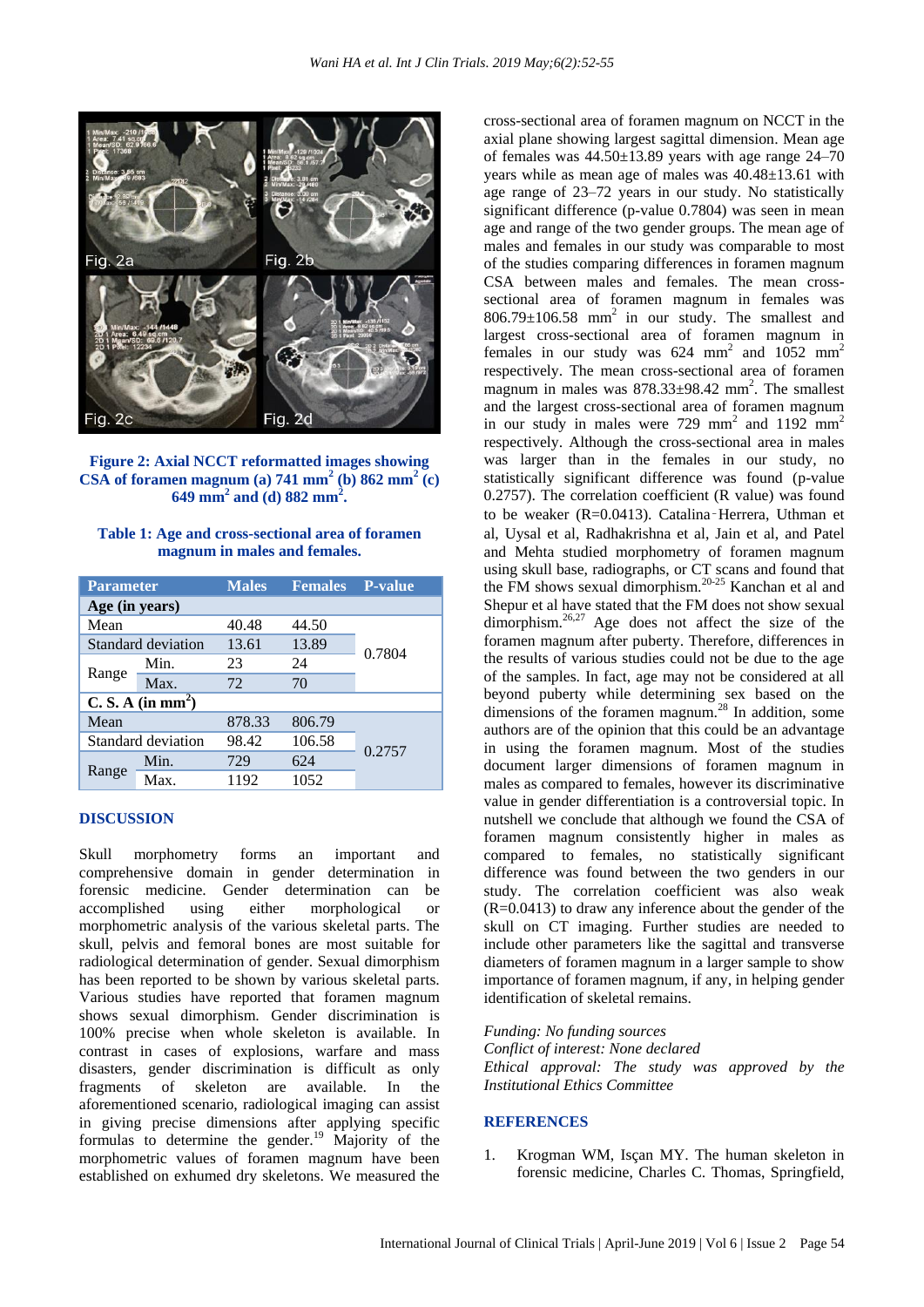

**Figure 2: Axial NCCT reformatted images showing CSA** of foramen magnum (a)  $741 \text{ mm}^2$  (b)  $862 \text{ mm}^2$  (c) **649 mm<sup>2</sup> and (d) 882 mm<sup>2</sup> .**

| Table 1: Age and cross-sectional area of foramen |  |
|--------------------------------------------------|--|
| magnum in males and females.                     |  |

| <b>Parameter</b>              |      | <b>Males</b> | <b>Females</b> | <b>P-value</b> |  |
|-------------------------------|------|--------------|----------------|----------------|--|
| Age (in years)                |      |              |                |                |  |
| Mean                          |      | 40.48        | 44.50          | 0.7804         |  |
| Standard deviation            |      | 13.61        | 13.89          |                |  |
| Range                         | Min. | 23           | 24             |                |  |
|                               | Max. | 72           | 70             |                |  |
| C. S. A (in mm <sup>2</sup> ) |      |              |                |                |  |
| Mean                          |      | 878.33       | 806.79         | 0.2757         |  |
| Standard deviation            |      | 98.42        | 106.58         |                |  |
| Range                         | Min. | 729          | 624            |                |  |
|                               | Max. | 1192         | 1052           |                |  |

#### **DISCUSSION**

Skull morphometry forms an important and comprehensive domain in gender determination in forensic medicine. Gender determination can be accomplished using either morphological or morphometric analysis of the various skeletal parts. The skull, pelvis and femoral bones are most suitable for radiological determination of gender. Sexual dimorphism has been reported to be shown by various skeletal parts. Various studies have reported that foramen magnum shows sexual dimorphism. Gender discrimination is 100% precise when whole skeleton is available. In contrast in cases of explosions, warfare and mass disasters, gender discrimination is difficult as only fragments of skeleton are available. In the aforementioned scenario, radiological imaging can assist in giving precise dimensions after applying specific formulas to determine the gender.<sup>19</sup> Majority of the morphometric values of foramen magnum have been established on exhumed dry skeletons. We measured the cross-sectional area of foramen magnum on NCCT in the axial plane showing largest sagittal dimension. Mean age of females was  $44.50 \pm 13.89$  years with age range  $24-70$ years while as mean age of males was 40.48±13.61 with age range of 23–72 years in our study. No statistically significant difference (p-value 0.7804) was seen in mean age and range of the two gender groups. The mean age of males and females in our study was comparable to most of the studies comparing differences in foramen magnum CSA between males and females. The mean crosssectional area of foramen magnum in females was  $806.79 \pm 106.58$  mm<sup>2</sup> in our study. The smallest and largest cross-sectional area of foramen magnum in females in our study was  $624 \text{ mm}^2$  and  $1052 \text{ mm}^2$ respectively. The mean cross-sectional area of foramen magnum in males was 878.33±98.42 mm<sup>2</sup>. The smallest and the largest cross-sectional area of foramen magnum in our study in males were  $729 \text{ mm}^2$  and  $1192 \text{ mm}^2$ respectively. Although the cross-sectional area in males was larger than in the females in our study, no statistically significant difference was found (p-value 0.2757). The correlation coefficient (R value) was found to be weaker (R=0.0413). Catalina‑Herrera, Uthman et al, Uysal et al, Radhakrishna et al, Jain et al, and Patel and Mehta studied morphometry of foramen magnum using skull base, radiographs, or CT scans and found that the FM shows sexual dimorphism.<sup>20-25</sup> Kanchan et al and Shepur et al have stated that the FM does not show sexual dimorphism.<sup>26,27</sup> Age does not affect the size of the foramen magnum after puberty. Therefore, differences in the results of various studies could not be due to the age of the samples. In fact, age may not be considered at all beyond puberty while determining sex based on the dimensions of the foramen magnum.<sup>28</sup> In addition, some authors are of the opinion that this could be an advantage in using the foramen magnum. Most of the studies document larger dimensions of foramen magnum in males as compared to females, however its discriminative value in gender differentiation is a controversial topic. In nutshell we conclude that although we found the CSA of foramen magnum consistently higher in males as compared to females, no statistically significant difference was found between the two genders in our study. The correlation coefficient was also weak (R=0.0413) to draw any inference about the gender of the skull on CT imaging. Further studies are needed to include other parameters like the sagittal and transverse diameters of foramen magnum in a larger sample to show importance of foramen magnum, if any, in helping gender identification of skeletal remains.

*Funding: No funding sources*

*Conflict of interest: None declared Ethical approval: The study was approved by the Institutional Ethics Committee*

#### **REFERENCES**

1. Krogman WM, Isçan MY. The human skeleton in forensic medicine, Charles C. Thomas, Springfield,